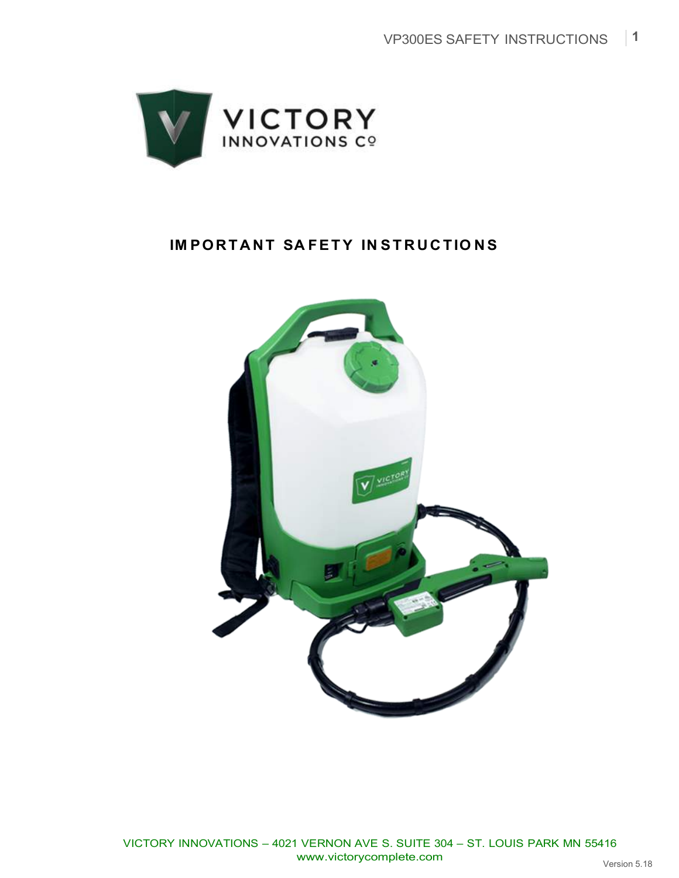

## **IM PORTA NT SA FETY IN ST R UC TIO N S**

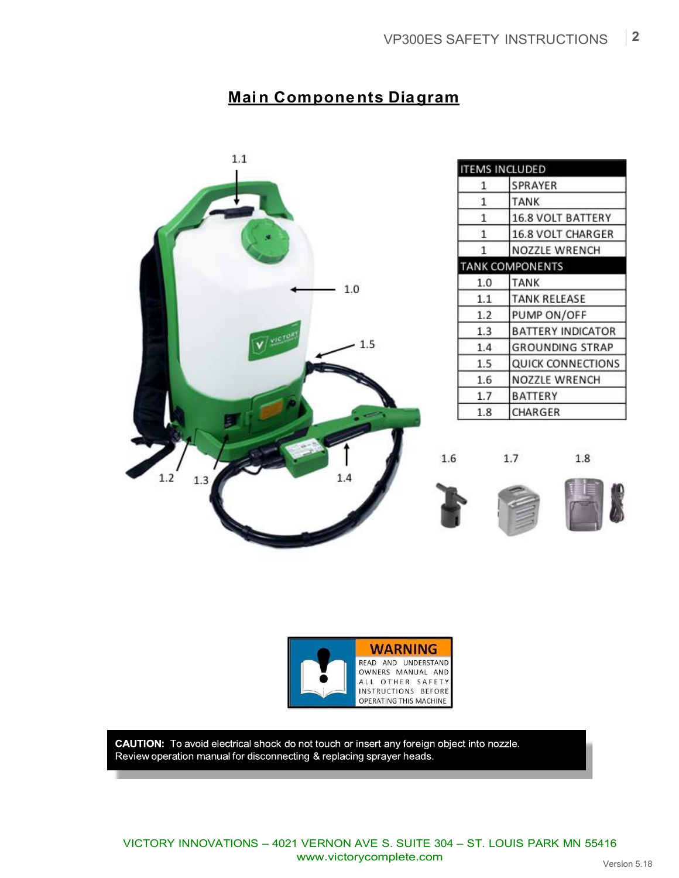## **Mai n Components Diagram**





CAUTION: To avoid electrical shock do not touch or insert any foreign object into nozzle. Review operation manual for disconnecting & replacing sprayer heads.

VICTORY INNOVATIONS – 4021 VERNON AVE S. SUITE 304 – ST. LOUIS PARK MN 55416 www.victorycomplete.com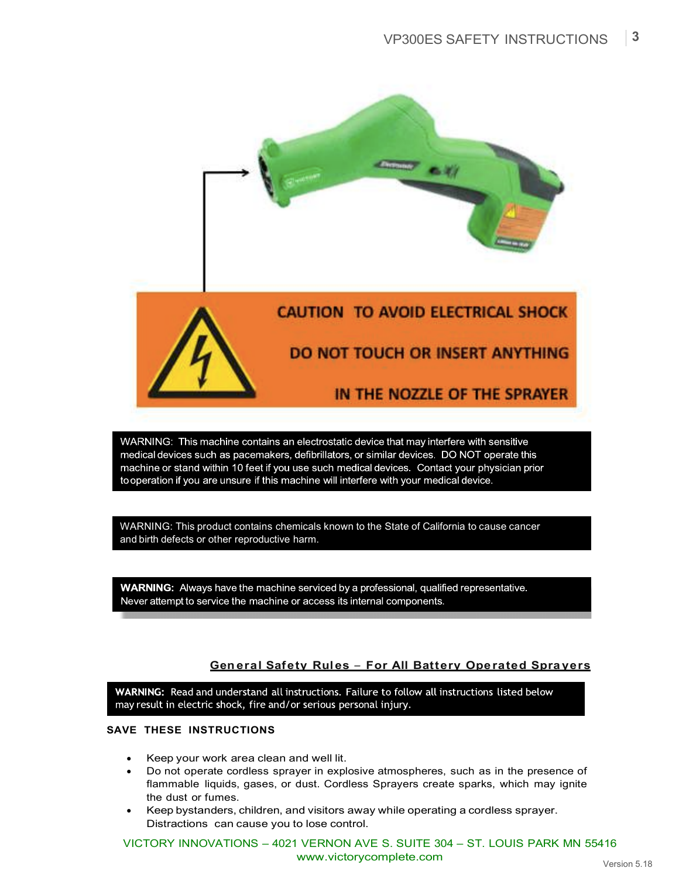

WARNING: This machine contains an electrostatic device that may interfere with sensitive medical devices such as pacemakers, defibrillators, or similar devices. DO NOT operate this machine or stand within 10 feet if you use such medical devices. Contact your physician prior to operation if you are unsure if this machine will interfere with your medical device.

WARNING: This product contains chemicals known to the State of California to cause cancer and birth defects or other reproductive harm.

**WARNING:** Always have the machine serviced by a professional, qualified representative. Never attempt to service the machine or access its internal components.

## **Gen eral Safety Rules** *–* **For All Battery Ope rated Spra yers**

WARNING: Read and understand all instructions. Failure to follow all instructions listed below may result in electric shock, fire and/or serious personal injury.

## **SAVE THESE INSTRUCTIONS**

- Keep your work area clean and well lit.
- Do not operate cordless sprayer in explosive atmospheres, such as in the presence of flammable liquids, gases, or dust. Cordless Sprayers create sparks, which may ignite the dust or fumes.
- Keep bystanders, children, and visitors away while operating a cordless sprayer. Distractions can cause you to lose control.

VICTORY INNOVATIONS – 4021 VERNON AVE S. SUITE 304 – ST. LOUIS PARK MN 55416 www.victorycomplete.com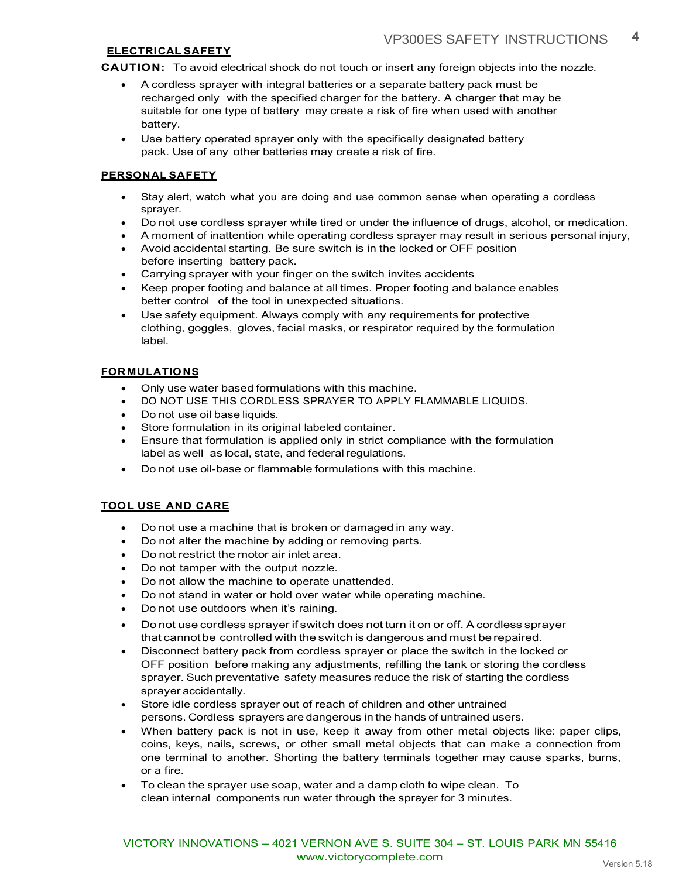## **ELECTRICAL SAFETY**

**CAUTION:** To avoid electrical shock do not touch or insert any foreign objects into the nozzle.

- A cordless sprayer with integral batteries or a separate battery pack must be recharged only with the specified charger for the battery. A charger that may be suitable for one type of battery may create a risk of fire when used with another battery.
- Use battery operated sprayer only with the specifically designated battery pack. Use of any other batteries may create a risk of fire.

### **PERSONAL SAFETY**

- Stay alert, watch what you are doing and use common sense when operating a cordless sprayer.
- Do not use cordless sprayer while tired or under the influence of drugs, alcohol, or medication.
- A moment of inattention while operating cordless sprayer may result in serious personal injury,
- Avoid accidental starting. Be sure switch is in the locked or OFF position before inserting battery pack.
- Carrying sprayer with your finger on the switch invites accidents
- Keep proper footing and balance at all times. Proper footing and balance enables better control of the tool in unexpected situations.
- Use safety equipment. Always comply with any requirements for protective clothing, goggles, gloves, facial masks, or respirator required by the formulation label.

## **FORMULATIONS**

- Only use water based formulations with this machine.
- DO NOT USE THIS CORDLESS SPRAYER TO APPLY FLAMMABLE LIQUIDS.
- Do not use oil base liquids.
- Store formulation in its original labeled container.
- Ensure that formulation is applied only in strict compliance with the formulation label as well as local, state, and federal regulations.
- Do not use oil-base or flammable formulations with this machine.

### **TOOL USE AND CARE**

- Do not use a machine that is broken or damaged in any way.
- Do not alter the machine by adding or removing parts.
- Do not restrict the motor air inlet area.
- Do not tamper with the output nozzle.
- Do not allow the machine to operate unattended.
- Do not stand in water or hold over water while operating machine.
- Do not use outdoors when it's raining.
- Do not use cordless sprayer if switch does not turn it on or off. A cordless sprayer that cannotbe controlled with the switch is dangerous and must be repaired.
- Disconnect battery pack from cordless sprayer or place the switch in the locked or OFF position before making any adjustments, refilling the tank or storing the cordless sprayer. Such preventative safety measures reduce the risk of starting the cordless sprayer accidentally.
- Store idle cordless sprayer out of reach of children and other untrained persons. Cordless sprayers are dangerous in the hands of untrained users.
- When battery pack is not in use, keep it away from other metal objects like: paper clips, coins, keys, nails, screws, or other small metal objects that can make a connection from one terminal to another. Shorting the battery terminals together may cause sparks, burns, or a fire.
- To clean the sprayer use soap, water and a damp cloth to wipe clean. To clean internal components run water through the sprayer for 3 minutes.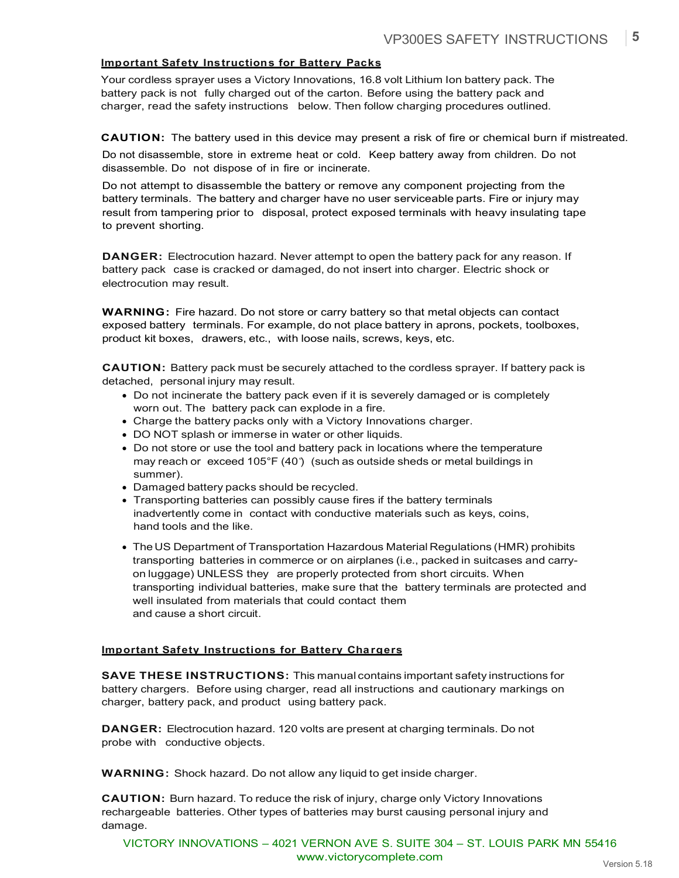## **Important Safety Instructions for Battery Packs**

Your cordless sprayer uses a Victory Innovations, 16.8 volt Lithium Ion battery pack. The battery pack is not fully charged out of the carton. Before using the battery pack and charger, read the safety instructions below. Then follow charging procedures outlined.

**CAUTION:** The battery used in this device may present a risk of fire or chemical burn if mistreated. Do not disassemble, store in extreme heat or cold. Keep battery away from children. Do not disassemble. Do not dispose of in fire or incinerate.

Do not attempt to disassemble the battery or remove any component projecting from the battery terminals. The battery and charger have no user serviceable parts. Fire or injury may result from tampering prior to disposal, protect exposed terminals with heavy insulating tape to prevent shorting.

**DANGER:** Electrocution hazard. Never attempt to open the battery pack for any reason. If battery pack case is cracked or damaged, do not insert into charger. Electric shock or electrocution may result.

**WARNING:** Fire hazard. Do not store or carry battery so that metal objects can contact exposed battery terminals. For example, do not place battery in aprons, pockets, toolboxes, product kit boxes, drawers, etc., with loose nails, screws, keys, etc.

**CAUTION:** Battery pack must be securely attached to the cordless sprayer. If battery pack is detached, personal injury may result.

- Do not incinerate the battery pack even if it is severely damaged or is completely worn out. The battery pack can explode in a fire.
- Charge the battery packs only with a Victory Innovations charger.
- DO NOT splash or immerse in water or other liquids.
- Do not store or use the tool and battery pack in locations where the temperature may reach or exceed 105°F (40°) (such as outside sheds or metal buildings in summer).
- Damaged battery packs should be recycled.
- Transporting batteries can possibly cause fires if the battery terminals inadvertently come in contact with conductive materials such as keys, coins, hand tools and the like.
- The US Department of Transportation Hazardous Material Regulations (HMR) prohibits transporting batteries in commerce or on airplanes (i.e., packed in suitcases and carryon luggage) UNLESS they are properly protected from short circuits. When transporting individual batteries, make sure that the battery terminals are protected and well insulated from materials that could contact them and cause a short circuit.

#### **Important Safety Instructions for Battery Chargers**

**SAVE THESE INSTRUCTIONS:** This manual contains important safety instructions for battery chargers. Before using charger, read all instructions and cautionary markings on charger, battery pack, and product using battery pack.

**DANGER:** Electrocution hazard. 120 volts are present at charging terminals. Do not probe with conductive objects.

**WARNING:** Shock hazard. Do not allow any liquid to get inside charger.

**CAUTION:** Burn hazard. To reduce the risk of injury, charge only Victory Innovations rechargeable batteries. Other types of batteries may burst causing personal injury and damage.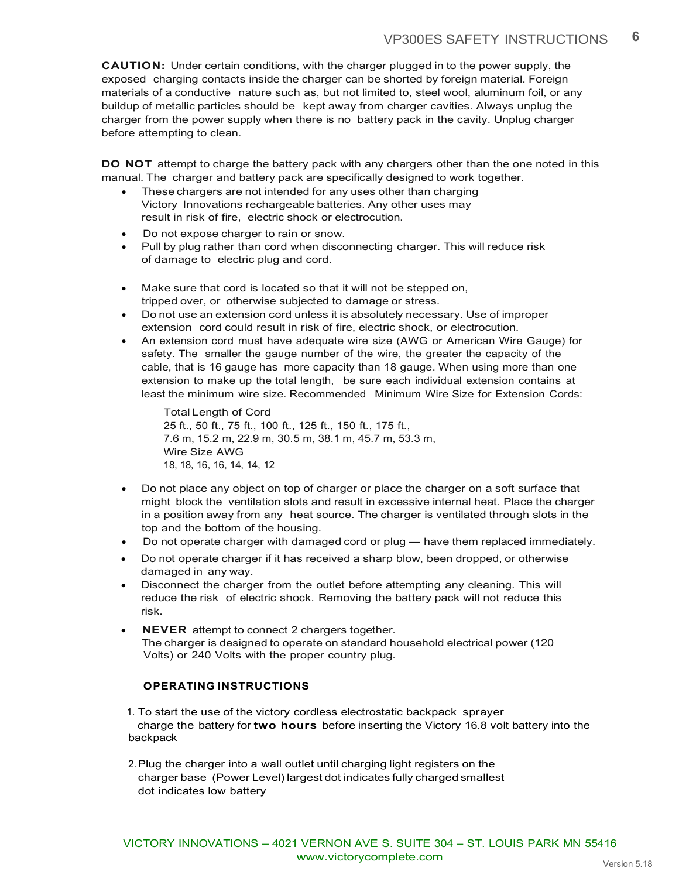**CAUTION:** Under certain conditions, with the charger plugged in to the power supply, the exposed charging contacts inside the charger can be shorted by foreign material. Foreign materials of a conductive nature such as, but not limited to, steel wool, aluminum foil, or any buildup of metallic particles should be kept away from charger cavities. Always unplug the charger from the power supply when there is no battery pack in the cavity. Unplug charger before attempting to clean.

**DO NOT** attempt to charge the battery pack with any chargers other than the one noted in this manual. The charger and battery pack are specifically designed to work together.

- These chargers are not intended for any uses other than charging Victory Innovations rechargeable batteries. Any other uses may result in risk of fire, electric shock or electrocution.
- Do not expose charger to rain or snow.
- Pull by plug rather than cord when disconnecting charger. This will reduce risk of damage to electric plug and cord.
- Make sure that cord is located so that it will not be stepped on, tripped over, or otherwise subjected to damage or stress.
- Do not use an extension cord unless it is absolutely necessary. Use of improper extension cord could result in risk of fire, electric shock, or electrocution.
- An extension cord must have adequate wire size (AWG or American Wire Gauge) for safety. The smaller the gauge number of the wire, the greater the capacity of the cable, that is 16 gauge has more capacity than 18 gauge. When using more than one extension to make up the total length, be sure each individual extension contains at least the minimum wire size. Recommended Minimum Wire Size for Extension Cords:

Total Length of Cord 25 ft., 50 ft., 75 ft., 100 ft., 125 ft., 150 ft., 175 ft., 7.6 m, 15.2 m, 22.9 m, 30.5 m, 38.1 m, 45.7 m, 53.3 m, Wire Size AWG 18, 18, 16, 16, 14, 14, 12

- Do not place any object on top of charger or place the charger on a soft surface that might block the ventilation slots and result in excessive internal heat. Place the charger in a position away from any heat source. The charger is ventilated through slots in the top and the bottom of the housing.
- Do not operate charger with damaged cord or plug have them replaced immediately.
- Do not operate charger if it has received a sharp blow, been dropped, or otherwise damaged in any way.
- Disconnect the charger from the outlet before attempting any cleaning. This will reduce the risk of electric shock. Removing the battery pack will not reduce this risk.
- **NEVER** attempt to connect 2 chargers together. The charger is designed to operate on standard household electrical power (120 Volts) or 240 Volts with the proper country plug.

### **OPERATING INSTRUCTIONS**

- 1. To start the use of the victory cordless electrostatic backpack sprayer charge the battery for **two hours** before inserting the Victory 16.8 volt battery into the backpack
- 2.Plug the charger into a wall outlet until charging light registers on the charger base (Power Level) largest dot indicates fully charged smallest dot indicates low battery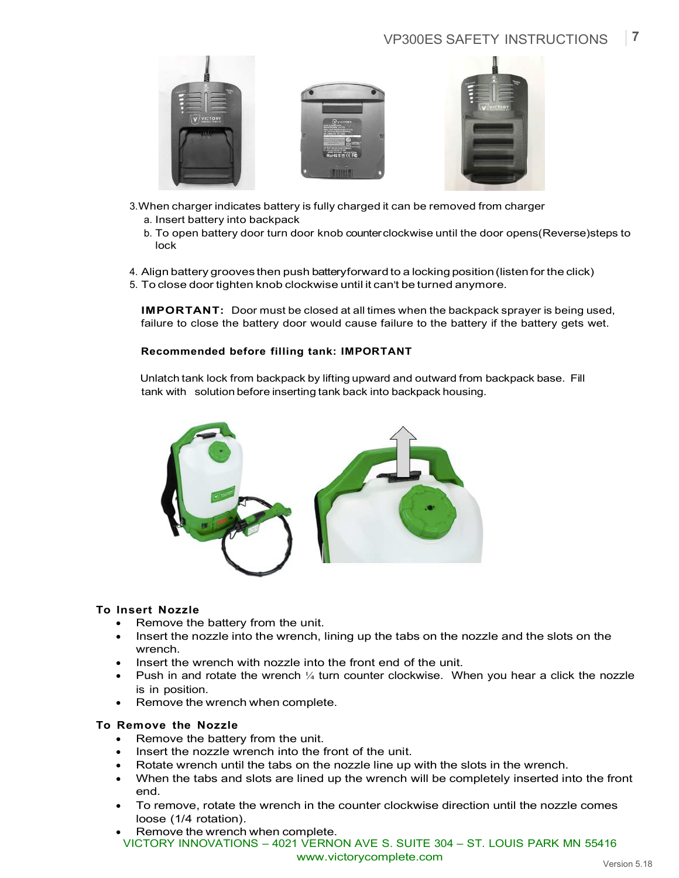## VP300ES SAFETY INSTRUCTIONS **7**



- 3.When charger indicates battery is fully charged it can be removed from charger a. Insert battery into backpack
	- b. To open battery door turn door knob counterclockwise until the door opens(Reverse)steps to lock
- 4. Align battery grooves then push batteryforward to a locking position(listen for the click)
- 5. To close door tighten knob clockwise until it can't be turned anymore.

**IMPORTANT:** Door must be closed at all times when the backpack sprayer is being used, failure to close the battery door would cause failure to the battery if the battery gets wet.

## **Recommended before filling tank: IMPORTANT**

Unlatch tank lock from backpack by lifting upward and outward from backpack base. Fill tank with solution before inserting tank back into backpack housing.



### **To Insert Nozzle**

- Remove the battery from the unit.
- Insert the nozzle into the wrench, lining up the tabs on the nozzle and the slots on the wrench.
- Insert the wrench with nozzle into the front end of the unit.
- Push in and rotate the wrench  $\frac{1}{4}$  turn counter clockwise. When you hear a click the nozzle is in position.
- Remove the wrench when complete.

### **To Remove the Nozzle**

- Remove the battery from the unit.
- Insert the nozzle wrench into the front of the unit.
- Rotate wrench until the tabs on the nozzle line up with the slots in the wrench.
- When the tabs and slots are lined up the wrench will be completely inserted into the front end.
- To remove, rotate the wrench in the counter clockwise direction until the nozzle comes loose (1/4 rotation).
- VICTORY INNOVATIONS 4021 VERNON AVE S. SUITE 304 ST. LOUIS PARK MN 55416 www.victorycomplete.com • Remove the wrench when complete.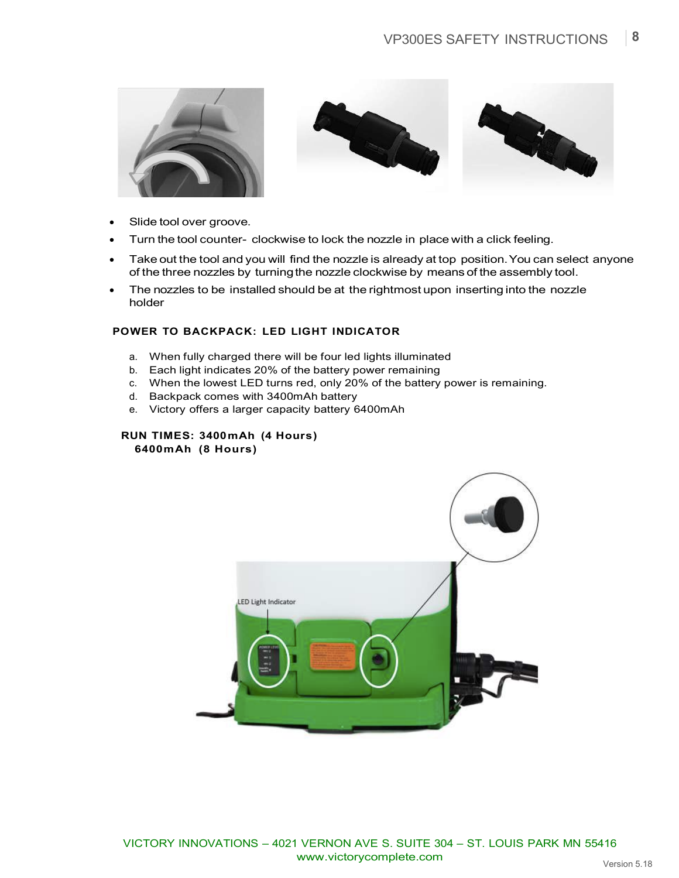





- Slide tool over groove.
- Turn the tool counter- clockwise to lock the nozzle in place with a click feeling.
- Take out the tool and you will find the nozzle is already at top position. You can select anyone of the three nozzles by turningthe nozzle clockwise by means of the assembly tool.
- The nozzles to be installed should be at the rightmost upon inserting into the nozzle holder

## **POWER TO BACKPACK: LED LIGHT INDICATOR**

- a. When fully charged there will be four led lights illuminated
- b. Each light indicates 20% of the battery power remaining
- c. When the lowest LED turns red, only 20% of the battery power is remaining.
- d. Backpack comes with 3400mAh battery
- e. Victory offers a larger capacity battery 6400mAh

#### **RUN TIMES: 3400mAh (4 Hours) 6400mAh (8 Hours)**

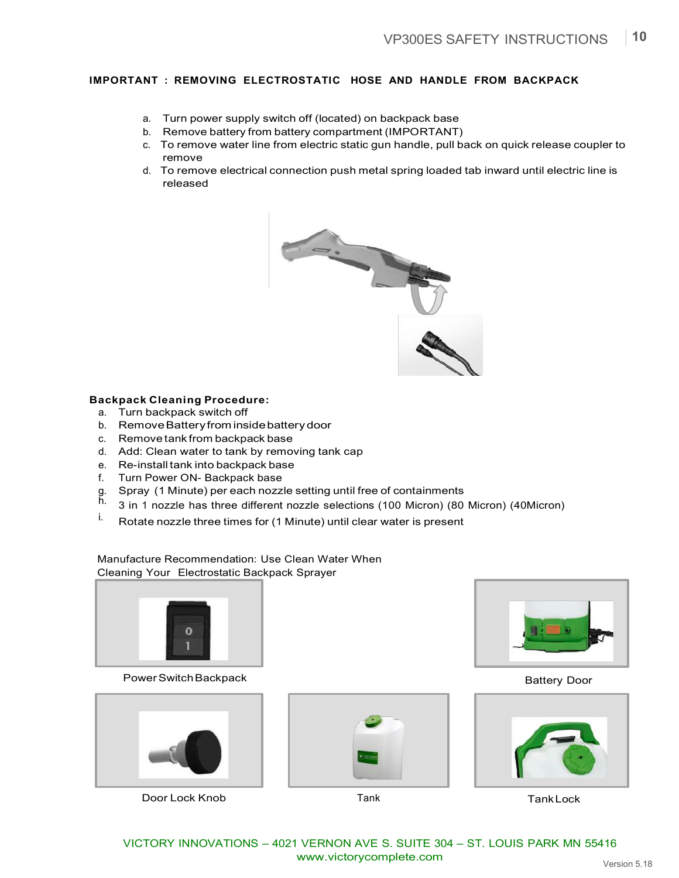## **IMPORTANT : REMOVING ELECTROSTATIC HOSE AND HANDLE FROM BACKPACK**

- a. Turn power supply switch off (located) on backpack base
- b. Remove battery from battery compartment (IMPORTANT)
- c. To remove water line from electric static gun handle, pull back on quick release coupler to remove
- d. To remove electrical connection push metal spring loaded tab inward until electric line is released



#### **Backpack Cleaning Procedure:**

- a. Turn backpack switch off
- b. RemoveBatteryfrom insidebatterydoor
- c. Remove tank from backpack base
- d. Add: Clean water to tank by removing tank cap
- e. Re-install tank into backpack base
- f. Turn Power ON- Backpack base
- g. Spray (1 Minute) per each nozzle setting until free of containments
- h. 3 in 1 nozzle has three different nozzle selections (100 Micron) (80 Micron) (40Micron)
- i. Rotate nozzle three times for (1 Minute) until clear water is present

Manufacture Recommendation: Use Clean Water When Cleaning Your Electrostatic Backpack Sprayer



Power Switch Backpack and the state of the state of the Battery Door



Door Lock Knob Tank TankLock





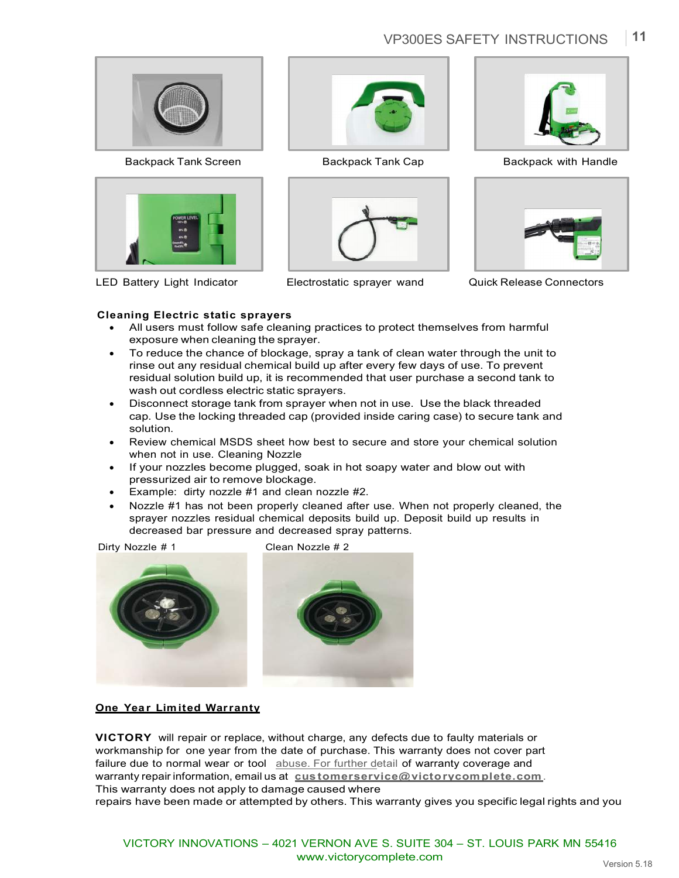# VP300ES SAFETY INSTRUCTIONS **11**



Backpack Tank Screen **Backpack Tank Cap** Backpack with Handle



LED Battery Light Indicator Electrostatic sprayer wand Quick Release Connectors









## **Cleaning Electric static sprayers**

- All users must follow safe cleaning practices to protect themselves from harmful exposure when cleaning the sprayer.
- To reduce the chance of blockage, spray a tank of clean water through the unit to rinse out any residual chemical build up after every few days of use. To prevent residual solution build up, it is recommended that user purchase a second tank to wash out cordless electric static sprayers.
- Disconnect storage tank from sprayer when not in use. Use the black threaded cap. Use the locking threaded cap (provided inside caring case) to secure tank and solution.
- Review chemical MSDS sheet how best to secure and store your chemical solution when not in use. Cleaning Nozzle
- If your nozzles become plugged, soak in hot soapy water and blow out with pressurized air to remove blockage.
- Example: dirty nozzle #1 and clean nozzle #2.
- Nozzle #1 has not been properly cleaned after use. When not properly cleaned, the sprayer nozzles residual chemical deposits build up. Deposit build up results in decreased bar pressure and decreased spray patterns.

Dirty Nozzle # 1 Clean Nozzle # 2





### **One Year Limited Warranty**

**VICTORY** will repair or replace, without charge, any defects due to faulty materials or workmanship for one year from the date of purchase. This warranty does not cover part failure due to normal wear or tool abuse. For further detail of warranty coverage and warranty repair information, email us at **cus tomerservice@victorycomplete.com**. This warranty does not apply to damage caused where

repairs have been made or attempted by others. This warranty gives you specific legal rights and you